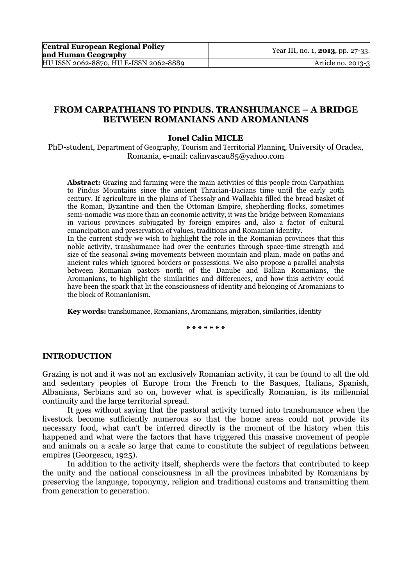# **FROM CARPATHIANS TO PINDUS. TRANSHUMANCE – A BRIDGE BETWEEN ROMANIANS AND AROMANIANS**

### **Ionel Calin MICLE**

PhD-student, Department of Geography, Tourism and Territorial Planning, University of Oradea, Romania, e-mail: calinvascau85@yahoo.com

**Abstract:** Grazing and farming were the main activities of this people from Carpathian to Pindus Mountains since the ancient Thracian-Dacians time until the early 20th century. If agriculture in the plains of Thessaly and Wallachia filled the bread basket of the Roman, Byzantine and then the Ottoman Empire, shepherding flocks, sometimes semi-nomadic was more than an economic activity, it was the bridge between Romanians in various provinces subjugated by foreign empires and, also a factor of cultural emancipation and preservation of values, traditions and Romanian identity. In the current study we wish to highlight the role in the Romanian provinces that this

noble activity, transhumance had over the centuries through space-time strength and size of the seasonal swing movements between mountain and plain, made on paths and ancient rules which ignored borders or possessions. We also propose a parallel analysis between Romanian pastors north of the Danube and Balkan Romanians, the Aromanians, to highlight the similarities and differences, and how this activity could have been the spark that lit the consciousness of identity and belonging of Aromanians to the block of Romanianism.

**Key words:** transhumance, Romanians, Aromanians, migration, similarities, identity

**\* \* \* \* \* \* \*** 

### **INTRODUCTION**

Grazing is not and it was not an exclusively Romanian activity, it can be found to all the old and sedentary peoples of Europe from the French to the Basques, Italians, Spanish, Albanians, Serbians and so on, however what is specifically Romanian, is its millennial continuity and the large territorial spread.

It goes without saying that the pastoral activity turned into transhumance when the livestock become sufficiently numerous so that the home areas could not provide its necessary food, what can't be inferred directly is the moment of the history when this happened and what were the factors that have triggered this massive movement of people and animals on a scale so large that came to constitute the subject of regulations between empires (Georgescu, 1925).

In addition to the activity itself, shepherds were the factors that contributed to keep the unity and the national consciousness in all the provinces inhabited by Romanians by preserving the language, toponymy, religion and traditional customs and transmitting them from generation to generation.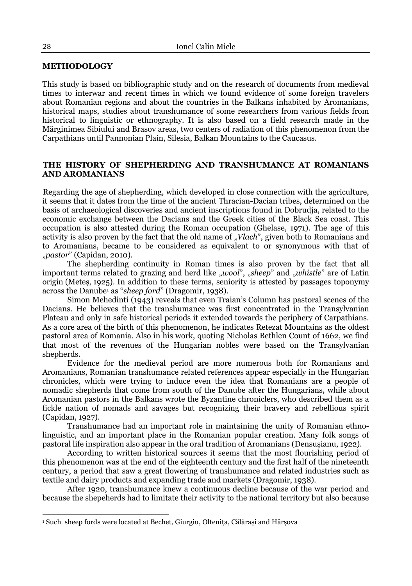### **METHODOLOGY**

This study is based on bibliographic study and on the research of documents from medieval times to interwar and recent times in which we found evidence of some foreign travelers about Romanian regions and about the countries in the Balkans inhabited by Aromanians, historical maps, studies about transhumance of some researchers from various fields from historical to linguistic or ethnography. It is also based on a field research made in the Mărginimea Sibiului and Brasov areas, two centers of radiation of this phenomenon from the Carpathians until Pannonian Plain, Silesia, Balkan Mountains to the Caucasus.

# **THE HISTORY OF SHEPHERDING AND TRANSHUMANCE AT ROMANIANS AND AROMANIANS**

Regarding the age of shepherding, which developed in close connection with the agriculture, it seems that it dates from the time of the ancient Thracian-Dacian tribes, determined on the basis of archaeological discoveries and ancient inscriptions found in Dobrudja, related to the economic exchange between the Dacians and the Greek cities of the Black Sea coast. This occupation is also attested during the Roman occupation (Ghelase, 1971). The age of this activity is also proven by the fact that the old name of "*Vlach*", given both to Romanians and to Aromanians, became to be considered as equivalent to or synonymous with that of "*pastor*" (Capidan, 2010).

The shepherding continuity in Roman times is also proven by the fact that all important terms related to grazing and herd like "wool", "sheep" and "whistle" are of Latin origin (Meteș, 1925). In addition to these terms, seniority is attested by passages toponymy across the Danube1 as "*sheep ford*" (Dragomir, 1938).

Simon Mehedinti (1943) reveals that even Traian's Column has pastoral scenes of the Dacians. He believes that the transhumance was first concentrated in the Transylvanian Plateau and only in safe historical periods it extended towards the periphery of Carpathians. As a core area of the birth of this phenomenon, he indicates Retezat Mountains as the oldest pastoral area of Romania. Also in his work, quoting Nicholas Bethlen Count of 1662, we find that most of the revenues of the Hungarian nobles were based on the Transylvanian shepherds.

Evidence for the medieval period are more numerous both for Romanians and Aromanians, Romanian transhumance related references appear especially in the Hungarian chronicles, which were trying to induce even the idea that Romanians are a people of nomadic shepherds that come from south of the Danube after the Hungarians, while about Aromanian pastors in the Balkans wrote the Byzantine chroniclers, who described them as a fickle nation of nomads and savages but recognizing their bravery and rebellious spirit (Capidan, 1927).

Transhumance had an important role in maintaining the unity of Romanian ethnolinguistic, and an important place in the Romanian popular creation. Many folk songs of pastoral life inspiration also appear in the oral tradition of Aromanians (Densușianu, 1922).

According to written historical sources it seems that the most flourishing period of this phenomenon was at the end of the eighteenth century and the first half of the nineteenth century, a period that saw a great flowering of transhumance and related industries such as textile and dairy products and expanding trade and markets (Dragomir, 1938).

After 1920, transhumance knew a continuous decline because of the war period and because the shepeherds had to limitate their activity to the national territory but also because

l

<sup>1</sup> Such sheep fords were located at Bechet, Giurgiu, Olteniţa, Călărași and Hârșova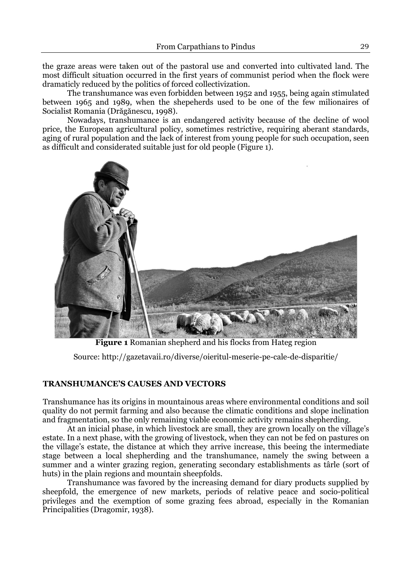the graze areas were taken out of the pastoral use and converted into cultivated land. The most difficult situation occurred in the first years of communist period when the flock were dramaticly reduced by the politics of forced collectivization.

The transhumance was even forbidden between 1952 and 1955, being again stimulated between 1965 and 1989, when the shepeherds used to be one of the few milionaires of Socialist Romania (Drăgănescu, 1998).

Nowadays, transhumance is an endangered activity because of the decline of wool price, the European agricultural policy, sometimes restrictive, requiring aberant standards, aging of rural population and the lack of interest from young people for such occupation, seen as difficult and considerated suitable just for old people (Figure 1).



**Figure 1** Romanian shepherd and his flocks from Hateg region

Source: http://gazetavaii.ro/diverse/oieritul-meserie-pe-cale-de-disparitie/

# **TRANSHUMANCE'S CAUSES AND VECTORS**

Transhumance has its origins in mountainous areas where environmental conditions and soil quality do not permit farming and also because the climatic conditions and slope inclination and fragmentation, so the only remaining viable economic activity remains shepherding.

At an inicial phase, in which livestock are small, they are grown locally on the village's estate. In a next phase, with the growing of livestock, when they can not be fed on pastures on the village's estate, the distance at which they arrive increase, this beeing the intermediate stage between a local shepherding and the transhumance, namely the swing between a summer and a winter grazing region, generating secondary establishments as târle (sort of huts) in the plain regions and mountain sheepfolds.

Transhumance was favored by the increasing demand for diary products supplied by sheepfold, the emergence of new markets, periods of relative peace and socio-political privileges and the exemption of some grazing fees abroad, especially in the Romanian Principalities (Dragomir, 1938).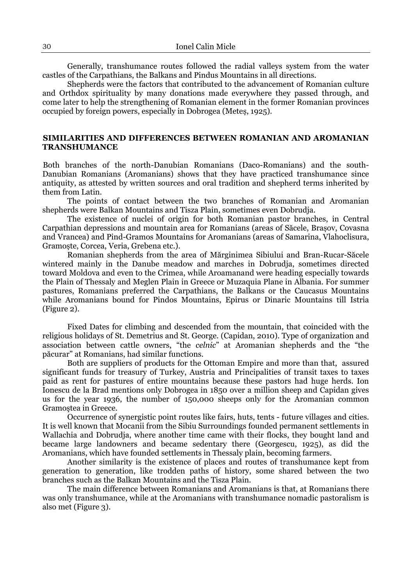Generally, transhumance routes followed the radial valleys system from the water castles of the Carpathians, the Balkans and Pindus Mountains in all directions.

Shepherds were the factors that contributed to the advancement of Romanian culture and Orthdox spirituality by many donations made everywhere they passed through, and come later to help the strengthening of Romanian element in the former Romanian provinces occupied by foreign powers, especially in Dobrogea (Meteș, 1925).

## **SIMILARITIES AND DIFFERENCES BETWEEN ROMANIAN AND AROMANIAN TRANSHUMANCE**

Both branches of the north-Danubian Romanians (Daco-Romanians) and the south-Danubian Romanians (Aromanians) shows that they have practiced transhumance since antiquity, as attested by written sources and oral tradition and shepherd terms inherited by them from Latin.

The points of contact between the two branches of Romanian and Aromanian shepherds were Balkan Mountains and Tisza Plain, sometimes even Dobrudja.

The existence of nuclei of origin for both Romanian pastor branches, in Central Carpathian depressions and mountain area for Romanians (areas of Săcele, Brașov, Covasna and Vrancea) and Pind-Gramos Mountains for Aromanians (areas of Samarina, Vlahoclisura, Gramoște, Corcea, Veria, Grebena etc.).

Romanian shepherds from the area of Mărginimea Sibiului and Bran-Rucar-Săcele wintered mainly in the Danube meadow and marches in Dobrudja, sometimes directed toward Moldova and even to the Crimea, while Aroamanand were heading especially towards the Plain of Thessaly and Meglen Plain in Greece or Muzaquia Plane in Albania. For summer pastures, Romanians preferred the Carpathians, the Balkans or the Caucasus Mountains while Aromanians bound for Pindos Mountains, Epirus or Dinaric Mountains till Istria (Figure 2).

Fixed Dates for climbing and descended from the mountain, that coincided with the religious holidays of St. Demetrius and St. George. (Capidan, 2010). Type of organization and association between cattle owners, "the *celnic*" at Aromanian shepherds and the "the păcurar" at Romanians, had similar functions.

Both are suppliers of products for the Ottoman Empire and more than that, assured significant funds for treasury of Turkey, Austria and Principalities of transit taxes to taxes paid as rent for pastures of entire mountains because these pastors had huge herds. Ion Ionescu de la Brad mentions only Dobrogea in 1850 over a million sheep and Capidan gives us for the year 1936, the number of 150,000 sheeps only for the Aromanian common Gramoştea in Greece.

Occurrence of synergistic point routes like fairs, huts, tents - future villages and cities. It is well known that Mocanii from the Sibiu Surroundings founded permanent settlements in Wallachia and Dobrudja, where another time came with their flocks, they bought land and became large landowners and became sedentary there (Georgescu, 1925), as did the Aromanians, which have founded settlements in Thessaly plain, becoming farmers.

Another similarity is the existence of places and routes of transhumance kept from generation to generation, like trodden paths of history, some shared between the two branches such as the Balkan Mountains and the Tisza Plain.

The main difference between Romanians and Aromanians is that, at Romanians there was only transhumance, while at the Aromanians with transhumance nomadic pastoralism is also met (Figure 3).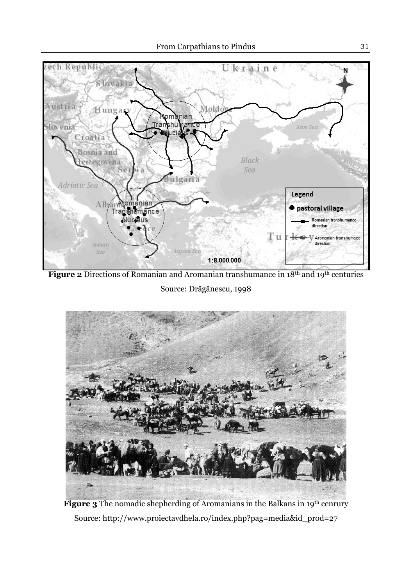

**Figure 2** Directions of Romanian and Aromanian transhumance in 18<sup>th</sup> and 19<sup>th</sup> centuries

Source: Drăgănescu, 1998



Figure 3 The nomadic shepherding of Aromanians in the Balkans in 19<sup>th</sup> cenrury Source: http://www.proiectavdhela.ro/index.php?pag=media&id\_prod=27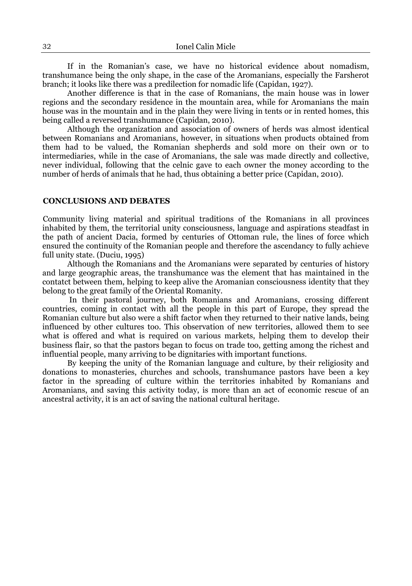If in the Romanian's case, we have no historical evidence about nomadism, transhumance being the only shape, in the case of the Aromanians, especially the Farsherot branch; it looks like there was a predilection for nomadic life (Capidan, 1927).

Another difference is that in the case of Romanians, the main house was in lower regions and the secondary residence in the mountain area, while for Aromanians the main house was in the mountain and in the plain they were living in tents or in rented homes, this being called a reversed transhumance (Capidan, 2010).

Although the organization and association of owners of herds was almost identical between Romanians and Aromanians, however, in situations when products obtained from them had to be valued, the Romanian shepherds and sold more on their own or to intermediaries, while in the case of Aromanians, the sale was made directly and collective, never individual, following that the celnic gave to each owner the money according to the number of herds of animals that he had, thus obtaining a better price (Capidan, 2010).

### **CONCLUSIONS AND DEBATES**

Community living material and spiritual traditions of the Romanians in all provinces inhabited by them, the territorial unity consciousness, language and aspirations steadfast in the path of ancient Dacia, formed by centuries of Ottoman rule, the lines of force which ensured the continuity of the Romanian people and therefore the ascendancy to fully achieve full unity state. (Duciu, 1995)

Although the Romanians and the Aromanians were separated by centuries of history and large geographic areas, the transhumance was the element that has maintained in the contatct between them, helping to keep alive the Aromanian consciousness identity that they belong to the great family of the Oriental Romanity.

 In their pastoral journey, both Romanians and Aromanians, crossing different countries, coming in contact with all the people in this part of Europe, they spread the Romanian culture but also were a shift factor when they returned to their native lands, being influenced by other cultures too. This observation of new territories, allowed them to see what is offered and what is required on various markets, helping them to develop their business flair, so that the pastors began to focus on trade too, getting among the richest and influential people, many arriving to be dignitaries with important functions.

By keeping the unity of the Romanian language and culture, by their religiosity and donations to monasteries, churches and schools, transhumance pastors have been a key factor in the spreading of culture within the territories inhabited by Romanians and Aromanians, and saving this activity today, is more than an act of economic rescue of an ancestral activity, it is an act of saving the national cultural heritage.